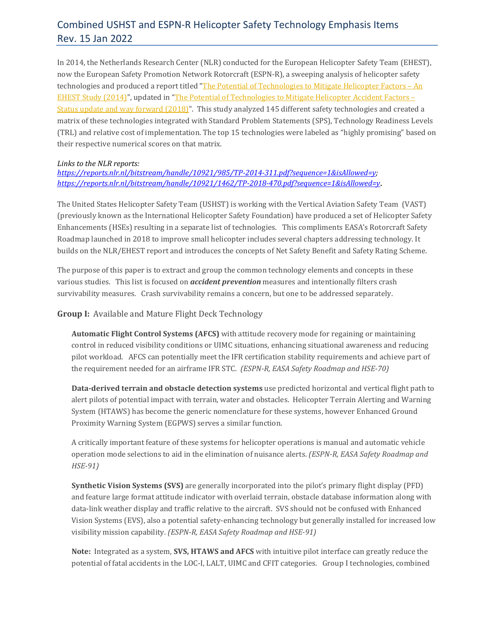## Combined USHST and ESPN-R Helicopter Safety Technology Emphasis Items Rev. 15 Jan 2022

In 2014, the Netherlands Research Center (NLR) conducted for the European Helicopter Safety Team (EHEST), now the European Safety Promotion Network Rotorcraft (ESPN-R), a sweeping analysis of helicopter safety technologies and produced a report titled ["](https://www.easa.europa.eu/sites/default/files/dfu/NLR-TP-2014-311.pdf)The Potential of [Technologies](https://www.easa.europa.eu/sites/default/files/dfu/NLR-TP-2014-311.pdf) to Mitigate Helicopter Factors - An EHEST Study [\(2014\)](https://www.easa.europa.eu/sites/default/files/dfu/NLR-TP-2014-311.pdf)", updated in ["](https://reports.nlr.nl/bitstream/handle/10921/1462/TP-2018-470.pdf?sequence=1&isAllowed=y)The Potential of [Technologies](https://reports.nlr.nl/bitstream/handle/10921/1462/TP-2018-470.pdf?sequence=1&isAllowed=y) to Mitigate Helicopter Accident Factors – Status update and way [forward](https://reports.nlr.nl/bitstream/handle/10921/1462/TP-2018-470.pdf?sequence=1&isAllowed=y) (2018)". This study analyzed 145 different safety technologies and created a matrix of these technologies integrated with Standard Problem Statements (SPS), Technology Readiness Levels (TRL) and relative cost of implementation. The top 15 technologies were labeled as "highly promising" based on their respective numerical scores on that matrix.

#### *Links to the NLR reports:*

*[https://reports.nlr.nl/bitstream/handle/10921/985/TP-2014-311.pdf?sequence=1&isAllowed=y;](https://reports.nlr.nl/bitstream/handle/10921/985/TP-2014-311.pdf?sequence=1&isAllowed=y) <https://reports.nlr.nl/bitstream/handle/10921/1462/TP-2018-470.pdf?sequence=1&isAllowed=y>.*

The United States Helicopter Safety Team (USHST) is working with the Vertical Aviation Safety Team (VAST) (previously known as the International Helicopter Safety Foundation) have produced a set of Helicopter Safety Enhancements (HSEs) resulting in a separate list of technologies. This compliments EASA's Rotorcraft Safety Roadmap launched in 2018 to improve small helicopter includes several chapters addressing technology. It builds on the NLR/EHEST report and introduces the concepts of Net Safety Benefit and Safety Rating Scheme.

The purpose of this paper is to extract and group the common technology elements and concepts in these various studies. This list is focused on *accident prevention* measures and intentionally filters crash survivability measures. Crash survivability remains a concern, but one to be addressed separately.

**Group I:** Available and Mature Flight Deck Technology

**Automatic Flight Control Systems (AFCS)** with attitude recovery mode for regaining or maintaining control in reduced visibility conditions or UIMC situations, enhancing situational awareness and reducing pilot workload. AFCS can potentially meet the IFR certification stability requirements and achieve part of the requirement needed for an airframe IFR STC. *(ESPN-R, EASA Safety Roadmap and HSE-70)*

**Data-derived terrain and obstacle detection systems** use predicted horizontal and vertical flight path to alert pilots of potential impact with terrain, water and obstacles. Helicopter Terrain Alerting and Warning System (HTAWS) has become the generic nomenclature for these systems, however Enhanced Ground Proximity Warning System (EGPWS) serves a similar function.

A critically important feature of these systems for helicopter operations is manual and automatic vehicle operation mode selections to aid in the elimination of nuisance alerts. *(ESPN-R, EASA Safety Roadmap and HSE-91)*

**Synthetic Vision Systems (SVS)** are generally incorporated into the pilot's primary flight display (PFD) and feature large format attitude indicator with overlaid terrain, obstacle database information along with data-link weather display and traffic relative to the aircraft. SVS should not be confused with Enhanced Vision Systems (EVS), also a potential safety-enhancing technology but generally installed for increased low visibility mission capability. *(ESPN-R, EASA Safety Roadmap and HSE-91)*

**Note:** Integrated as a system, **SVS, HTAWS and AFCS** with intuitive pilot interface can greatly reduce the potential of fatal accidents in the LOC-I, LALT, UIMC and CFIT categories. Group I technologies, combined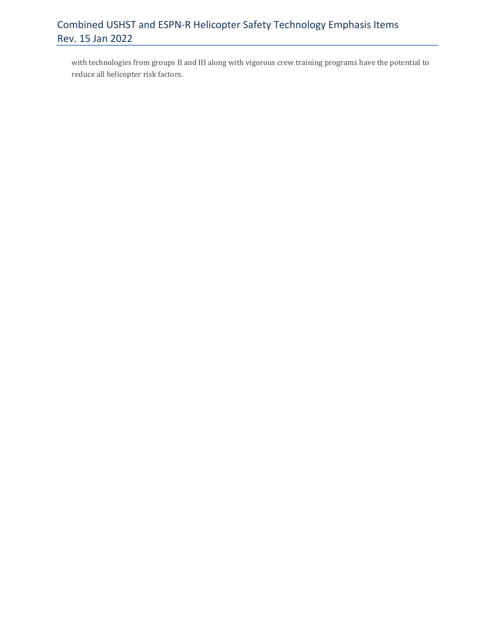# Combined USHST and ESPN-R Helicopter Safety Technology Emphasis Items Rev. 15 Jan 2022

with technologies from groups II and III along with vigorous crew training programs have the potential to reduce all helicopter risk factors.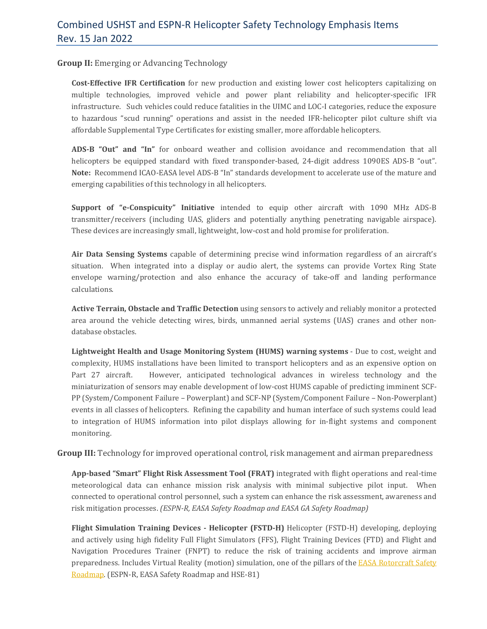### **Group II:** Emerging or Advancing Technology

**Cost-Effective IFR Certification** for new production and existing lower cost helicopters capitalizing on multiple technologies, improved vehicle and power plant reliability and helicopter-specific IFR infrastructure. Such vehicles could reduce fatalities in the UIMC and LOC-I categories, reduce the exposure to hazardous "scud running" operations and assist in the needed IFR-helicopter pilot culture shift via affordable Supplemental Type Certificates for existing smaller, more affordable helicopters.

**ADS-B "Out" and "In"** for onboard weather and collision avoidance and recommendation that all helicopters be equipped standard with fixed transponder-based, 24-digit address 1090ES ADS-B "out". **Note:** Recommend ICAO-EASA level ADS-B "In" standards development to accelerate use of the mature and emerging capabilities of this technology in all helicopters.

**Support of "e-Conspicuity" Initiative** intended to equip other aircraft with 1090 MHz ADS-B transmitter/receivers (including UAS, gliders and potentially anything penetrating navigable airspace). These devices are increasingly small, lightweight, low-cost and hold promise for proliferation.

**Air Data Sensing Systems** capable of determining precise wind information regardless of an aircraft's situation. When integrated into a display or audio alert, the systems can provide Vortex Ring State envelope warning/protection and also enhance the accuracy of take-off and landing performance calculations.

**Active Terrain, Obstacle and Traffic Detection** using sensors to actively and reliably monitor a protected area around the vehicle detecting wires, birds, unmanned aerial systems (UAS) cranes and other nondatabase obstacles.

**Lightweight Health and Usage Monitoring System (HUMS) warning systems** - Due to cost, weight and complexity, HUMS installations have been limited to transport helicopters and as an expensive option on Part 27 aircraft. However, anticipated technological advances in wireless technology and the miniaturization of sensors may enable development of low-cost HUMS capable of predicting imminent SCF-PP (System/Component Failure – Powerplant) and SCF-NP (System/Component Failure – Non-Powerplant) events in all classes of helicopters. Refining the capability and human interface of such systems could lead to integration of HUMS information into pilot displays allowing for in-flight systems and component monitoring.

**Group III:** Technology for improved operational control, risk management and airman preparedness

**App-based "Smart" Flight Risk Assessment Tool (FRAT)** integrated with flight operations and real-time meteorological data can enhance mission risk analysis with minimal subjective pilot input. When connected to operational control personnel, such a system can enhance the risk assessment, awareness and risk mitigation processes. *(ESPN-R, EASA Safety Roadmap and EASA GA Safety Roadmap)*

**Flight Simulation Training Devices - Helicopter (FSTD-H)** Helicopter (FSTD-H) developing, deploying and actively using high fidelity Full Flight Simulators (FFS), Flight Training Devices (FTD) and Flight and Navigation Procedures Trainer (FNPT) to reduce the risk of training accidents and improve airman preparedness. Includes Virtual Reality (motion) simulation, one of the pillars of the EASA [Rotorcraft](https://www.easa.europa.eu/download/Events/Rotorcraft%20Safety%20Roadmap%20-%20Final.pdf) Safety [Roadmap.](https://www.easa.europa.eu/download/Events/Rotorcraft%20Safety%20Roadmap%20-%20Final.pdf) (ESPN-R, EASA Safety Roadmap and HSE-81)